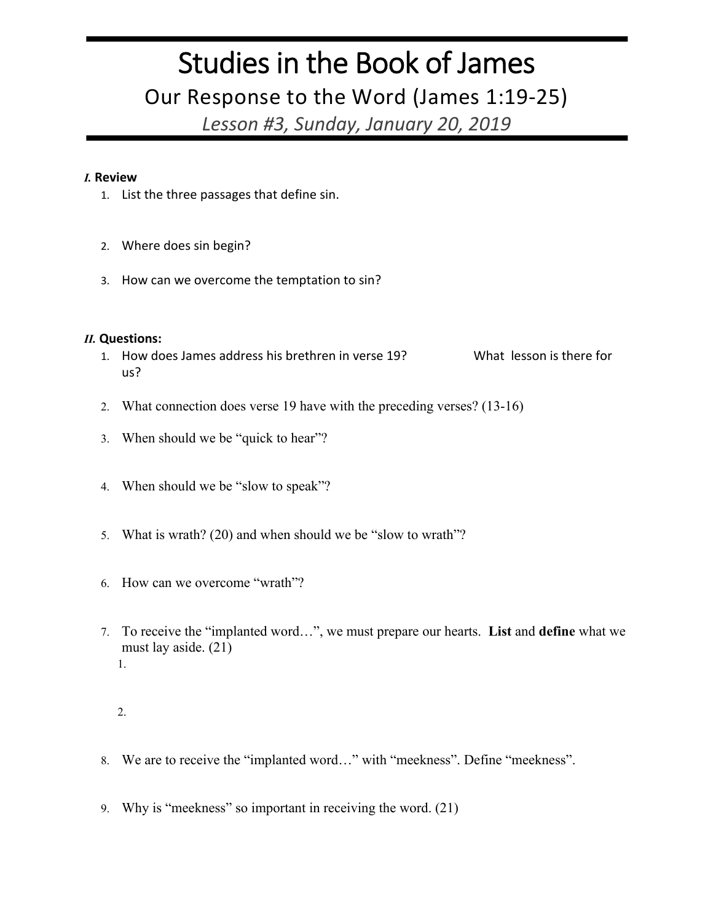## Studies in the Book of James

Our Response to the Word (James 1:19-25)

*Lesson #3, Sunday, January 20, 2019*

## *I.* **Review**

- 1. List the three passages that define sin.
- 2. Where does sin begin?
- 3. How can we overcome the temptation to sin?

## *II.* **Questions:**

- 1. How does James address his brethren in verse 19? What lesson is there for us?
- 2. What connection does verse 19 have with the preceding verses? (13-16)
- 3. When should we be "quick to hear"?
- 4. When should we be "slow to speak"?
- 5. What is wrath? (20) and when should we be "slow to wrath"?
- 6. How can we overcome "wrath"?
- 7. To receive the "implanted word…", we must prepare our hearts. **List** and **define** what we must lay aside. (21) 1.

- 8. We are to receive the "implanted word…" with "meekness". Define "meekness".
- 9. Why is "meekness" so important in receiving the word. (21)

<sup>2.</sup>